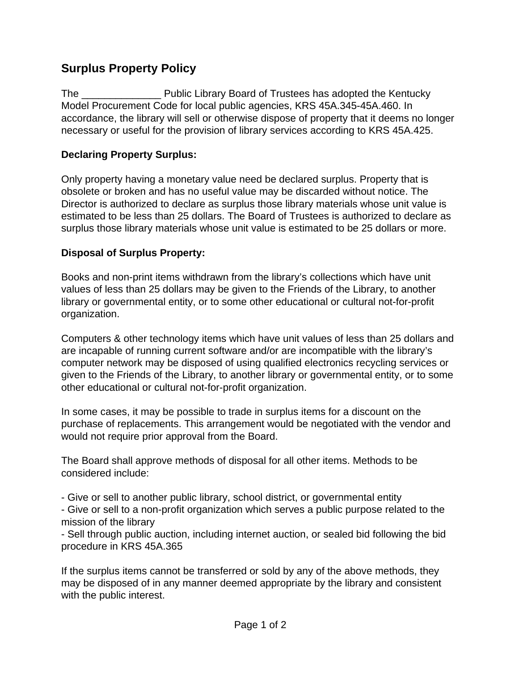## **Surplus Property Policy**

The \_\_\_\_\_\_\_\_\_\_\_\_\_\_ Public Library Board of Trustees has adopted the Kentucky Model Procurement Code for local public agencies, KRS 45A.345-45A.460. In accordance, the library will sell or otherwise dispose of property that it deems no longer necessary or useful for the provision of library services according to KRS 45A.425.

## **Declaring Property Surplus:**

Only property having a monetary value need be declared surplus. Property that is obsolete or broken and has no useful value may be discarded without notice. The Director is authorized to declare as surplus those library materials whose unit value is estimated to be less than 25 dollars. The Board of Trustees is authorized to declare as surplus those library materials whose unit value is estimated to be 25 dollars or more.

## **Disposal of Surplus Property:**

Books and non-print items withdrawn from the library's collections which have unit values of less than 25 dollars may be given to the Friends of the Library, to another library or governmental entity, or to some other educational or cultural not-for-profit organization.

Computers & other technology items which have unit values of less than 25 dollars and are incapable of running current software and/or are incompatible with the library's computer network may be disposed of using qualified electronics recycling services or given to the Friends of the Library, to another library or governmental entity, or to some other educational or cultural not-for-profit organization.

In some cases, it may be possible to trade in surplus items for a discount on the purchase of replacements. This arrangement would be negotiated with the vendor and would not require prior approval from the Board.

The Board shall approve methods of disposal for all other items. Methods to be considered include:

- Give or sell to another public library, school district, or governmental entity

- Give or sell to a non-profit organization which serves a public purpose related to the mission of the library

- Sell through public auction, including internet auction, or sealed bid following the bid procedure in KRS 45A.365

If the surplus items cannot be transferred or sold by any of the above methods, they may be disposed of in any manner deemed appropriate by the library and consistent with the public interest.